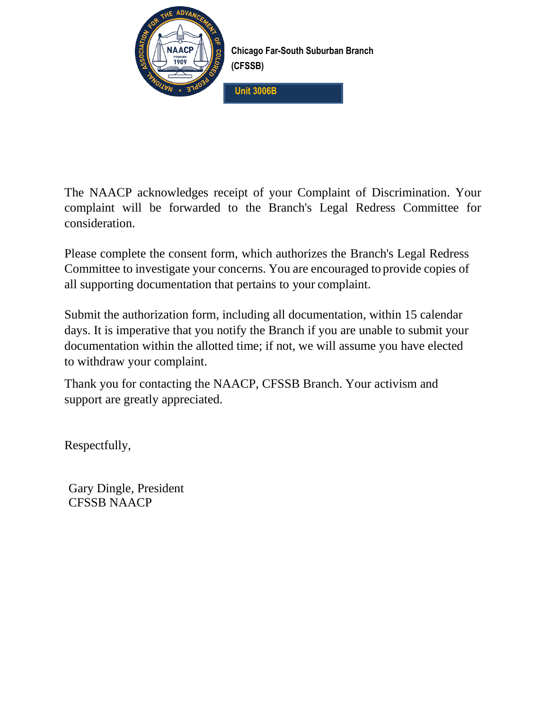

**Chicago Far-South Suburban Branch (CFSSB)**

**Unit 3006B**

The NAACP acknowledges receipt of your Complaint of Discrimination. Your complaint will be forwarded to the Branch's Legal Redress Committee for consideration.

Please complete the consent form, which authorizes the Branch's Legal Redress Committee to investigate your concerns. You are encouraged to provide copies of all supporting documentation that pertains to your complaint.

Submit the authorization form, including all documentation, within 15 calendar days. It is imperative that you notify the Branch if you are unable to submit your documentation within the allotted time; if not, we will assume you have elected to withdraw your complaint.

Thank you for contacting the NAACP, CFSSB Branch. Your activism and support are greatly appreciated.

Respectfully,

Gary Dingle, President CFSSB NAACP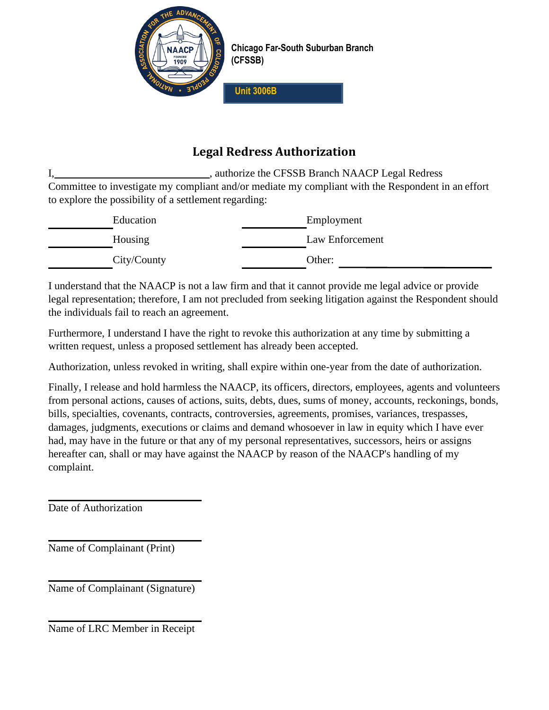

**Chicago Far-South Suburban Branch (CFSSB)**

**Unit 3006B**

# **Legal Redress Authorization**

I, authorize the CFSSB Branch NAACP Legal Redress Committee to investigate my compliant and/or mediate my compliant with the Respondent in an effort to explore the possibility of a settlement regarding:

| Education   | Employment      |
|-------------|-----------------|
| Housing     | Law Enforcement |
| City/County | Other:          |

I understand that the NAACP is not a law firm and that it cannot provide me legal advice or provide legal representation; therefore, I am not precluded from seeking litigation against the Respondent should the individuals fail to reach an agreement.

Furthermore, I understand I have the right to revoke this authorization at any time by submitting a written request, unless a proposed settlement has already been accepted.

Authorization, unless revoked in writing, shall expire within one-year from the date of authorization.

Finally, I release and hold harmless the NAACP, its officers, directors, employees, agents and volunteers from personal actions, causes of actions, suits, debts, dues, sums of money, accounts, reckonings, bonds, bills, specialties, covenants, contracts, controversies, agreements, promises, variances, trespasses, damages, judgments, executions or claims and demand whosoever in law in equity which I have ever had, may have in the future or that any of my personal representatives, successors, heirs or assigns hereafter can, shall or may have against the NAACP by reason of the NAACP's handling of my complaint.

Date of Authorization

Name of Complainant (Print)

Name of Complainant (Signature)

Name of LRC Member in Receipt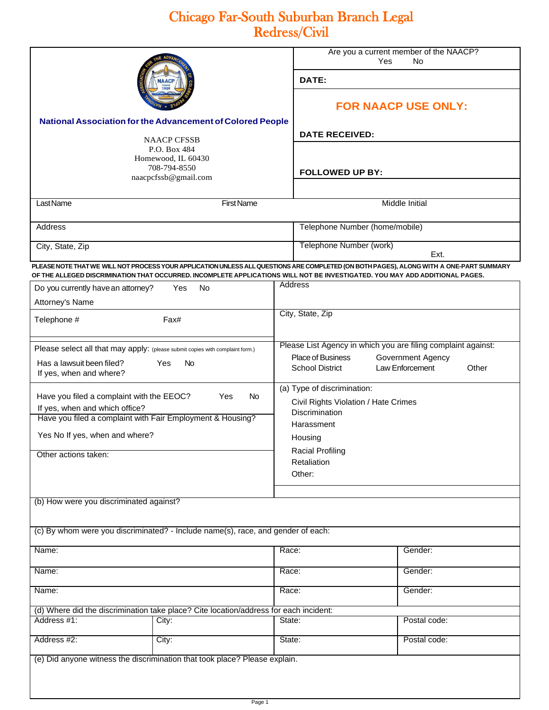# Chicago Far-South Suburban Branch Legal Redress/Civil

|                                                                                                                                                                |                                                                                                                              |                                | Are you a current member of the NAACP?<br>Yes<br>No                                                                                                                         |              |  |
|----------------------------------------------------------------------------------------------------------------------------------------------------------------|------------------------------------------------------------------------------------------------------------------------------|--------------------------------|-----------------------------------------------------------------------------------------------------------------------------------------------------------------------------|--------------|--|
|                                                                                                                                                                |                                                                                                                              |                                | DATE:                                                                                                                                                                       |              |  |
|                                                                                                                                                                |                                                                                                                              | <b>FOR NAACP USE ONLY:</b>     |                                                                                                                                                                             |              |  |
| National Association for the Advancement of Colored People<br><b>NAACP CFSSB</b><br>P.O. Box 484<br>Homewood, IL 60430<br>708-794-8550<br>naacpcfssb@gmail.com |                                                                                                                              |                                | <b>DATE RECEIVED:</b>                                                                                                                                                       |              |  |
|                                                                                                                                                                |                                                                                                                              |                                |                                                                                                                                                                             |              |  |
|                                                                                                                                                                |                                                                                                                              |                                | <b>FOLLOWED UP BY:</b>                                                                                                                                                      |              |  |
| Last Name<br><b>First Name</b>                                                                                                                                 |                                                                                                                              |                                | Middle Initial                                                                                                                                                              |              |  |
| <b>Address</b>                                                                                                                                                 |                                                                                                                              | Telephone Number (home/mobile) |                                                                                                                                                                             |              |  |
| City, State, Zip                                                                                                                                               |                                                                                                                              |                                | Telephone Number (work)                                                                                                                                                     |              |  |
| Ext.<br>PLEASE NOTE THAT WE WILL NOT PROCESS YOUR APPLICATION UNLESS ALL QUESTIONS ARE COMPLETED (ON BOTH PAGES), ALONG WITH A ONE-PART SUMMARY                |                                                                                                                              |                                |                                                                                                                                                                             |              |  |
|                                                                                                                                                                | OF THE ALLEGED DISCRIMINATION THAT OCCURRED. INCOMPLETE APPLICATIONS WILL NOT BE INVESTIGATED. YOU MAY ADD ADDITIONAL PAGES. |                                |                                                                                                                                                                             |              |  |
| Do you currently have an attorney?<br>Yes<br>No.                                                                                                               |                                                                                                                              |                                | Address                                                                                                                                                                     |              |  |
|                                                                                                                                                                | Attorney's Name                                                                                                              |                                | City, State, Zip                                                                                                                                                            |              |  |
| Telephone #                                                                                                                                                    | Fax#                                                                                                                         |                                |                                                                                                                                                                             |              |  |
| Please select all that may apply: (please submit copies with complaint form.)<br>Has a lawsuit been filed?<br>Yes<br><b>No</b><br>If yes, when and where?      |                                                                                                                              |                                | Please List Agency in which you are filing complaint against:<br><b>Place of Business</b><br>Government Agency<br>Other<br><b>School District</b><br><b>Law Enforcement</b> |              |  |
| Have you filed a complaint with the EEOC?<br>Yes<br>No.<br>If yes, when and which office?                                                                      |                                                                                                                              |                                | (a) Type of discrimination:<br>Civil Rights Violation / Hate Crimes                                                                                                         |              |  |
|                                                                                                                                                                | Have you filed a complaint with Fair Employment & Housing?                                                                   |                                | <b>Discrimination</b><br>Harassment                                                                                                                                         |              |  |
| Yes No If yes, when and where?                                                                                                                                 |                                                                                                                              |                                | Housing                                                                                                                                                                     |              |  |
| Other actions taken:                                                                                                                                           |                                                                                                                              |                                | <b>Racial Profiling</b><br>Retaliation<br>Other:                                                                                                                            |              |  |
|                                                                                                                                                                |                                                                                                                              |                                |                                                                                                                                                                             |              |  |
| (b) How were you discriminated against?                                                                                                                        |                                                                                                                              |                                |                                                                                                                                                                             |              |  |
|                                                                                                                                                                | (c) By whom were you discriminated? - Include name(s), race, and gender of each:                                             |                                |                                                                                                                                                                             |              |  |
| Name:                                                                                                                                                          |                                                                                                                              | Race:                          |                                                                                                                                                                             | Gender:      |  |
| Name:                                                                                                                                                          |                                                                                                                              | Race:                          |                                                                                                                                                                             | Gender:      |  |
| Name:                                                                                                                                                          |                                                                                                                              | Race:                          |                                                                                                                                                                             | Gender:      |  |
|                                                                                                                                                                | (d) Where did the discrimination take place? Cite location/address for each incident:                                        |                                |                                                                                                                                                                             |              |  |
| Address #1:                                                                                                                                                    | City:                                                                                                                        | State:                         |                                                                                                                                                                             | Postal code: |  |
| Address #2:                                                                                                                                                    | City:                                                                                                                        | State:                         |                                                                                                                                                                             | Postal code: |  |
|                                                                                                                                                                | (e) Did anyone witness the discrimination that took place? Please explain.                                                   |                                |                                                                                                                                                                             |              |  |